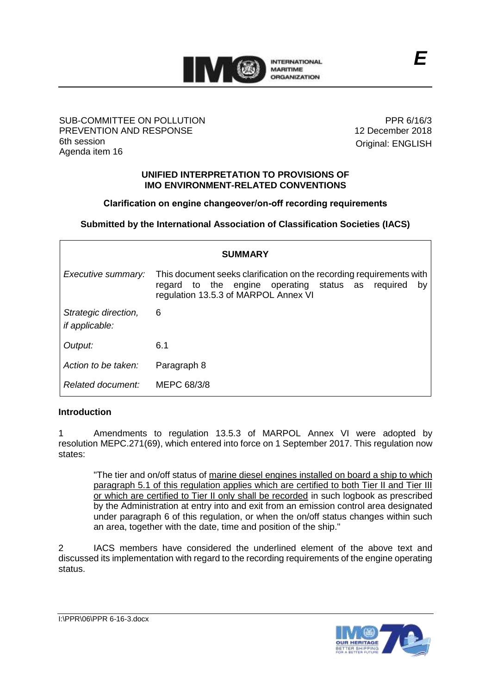

### SUB-COMMITTEE ON POLLUTION PREVENTION AND RESPONSE 6th session Agenda item 16

PPR 6/16/3 12 December 2018 Original: ENGLISH

#### **UNIFIED INTERPRETATION TO PROVISIONS OF IMO ENVIRONMENT-RELATED CONVENTIONS**

# **Clarification on engine changeover/on-off recording requirements**

**Submitted by the International Association of Classification Societies (IACS)**

| <b>SUMMARY</b>                                |                                                                                                                                                                         |
|-----------------------------------------------|-------------------------------------------------------------------------------------------------------------------------------------------------------------------------|
| Executive summary:                            | This document seeks clarification on the recording requirements with<br>regard to the engine operating status as required<br>by<br>regulation 13.5.3 of MARPOL Annex VI |
| Strategic direction,<br><i>if applicable:</i> | 6                                                                                                                                                                       |
| Output:                                       | 6.1                                                                                                                                                                     |
| Action to be taken:                           | Paragraph 8                                                                                                                                                             |
| Related document:                             | MEPC 68/3/8                                                                                                                                                             |

# **Introduction**

1 Amendments to regulation 13.5.3 of MARPOL Annex VI were adopted by resolution MEPC.271(69), which entered into force on 1 September 2017. This regulation now states:

"The tier and on/off status of marine diesel engines installed on board a ship to which paragraph 5.1 of this regulation applies which are certified to both Tier II and Tier III or which are certified to Tier II only shall be recorded in such logbook as prescribed by the Administration at entry into and exit from an emission control area designated under paragraph 6 of this regulation, or when the on/off status changes within such an area, together with the date, time and position of the ship."

2 IACS members have considered the underlined element of the above text and discussed its implementation with regard to the recording requirements of the engine operating status.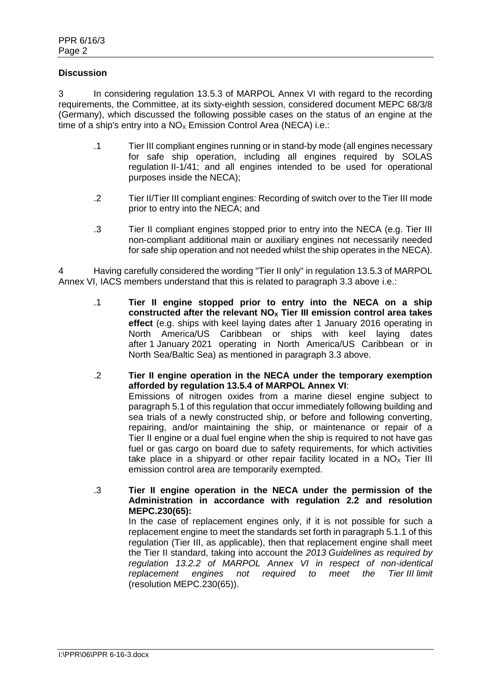### **Discussion**

3 In considering regulation 13.5.3 of MARPOL Annex VI with regard to the recording requirements, the Committee, at its sixty-eighth session, considered document MEPC 68/3/8 (Germany), which discussed the following possible cases on the status of an engine at the time of a ship's entry into a  $NO<sub>x</sub>$  Emission Control Area (NECA) i.e.:

- .1 Tier III compliant engines running or in stand-by mode (all engines necessary for safe ship operation, including all engines required by SOLAS regulation II-1/41; and all engines intended to be used for operational purposes inside the NECA);
- .2 Tier II/Tier III compliant engines: Recording of switch over to the Tier III mode prior to entry into the NECA; and
- .3 Tier II compliant engines stopped prior to entry into the NECA (e.g. Tier III non-compliant additional main or auxiliary engines not necessarily needed for safe ship operation and not needed whilst the ship operates in the NECA).

4 Having carefully considered the wording "Tier II only" in regulation 13.5.3 of MARPOL Annex VI, IACS members understand that this is related to paragraph 3.3 above i.e.:

- .1 **Tier II engine stopped prior to entry into the NECA on a ship constructed after the relevant NO<sup>X</sup> Tier III emission control area takes effect** (e.g. ships with keel laying dates after 1 January 2016 operating in North America/US Caribbean or ships with keel laying dates after 1 January 2021 operating in North America/US Caribbean or in North Sea/Baltic Sea) as mentioned in paragraph 3.3 above.
- .2 **Tier II engine operation in the NECA under the temporary exemption afforded by regulation 13.5.4 of MARPOL Annex VI**: Emissions of nitrogen oxides from a marine diesel engine subject to paragraph 5.1 of this regulation that occur immediately following building and sea trials of a newly constructed ship, or before and following converting, repairing, and/or maintaining the ship, or maintenance or repair of a Tier II engine or a dual fuel engine when the ship is required to not have gas fuel or gas cargo on board due to safety requirements, for which activities take place in a shipyard or other repair facility located in a  $NO<sub>x</sub>$  Tier III emission control area are temporarily exempted.
- .3 **Tier II engine operation in the NECA under the permission of the Administration in accordance with regulation 2.2 and resolution MEPC.230(65):**

In the case of replacement engines only, if it is not possible for such a replacement engine to meet the standards set forth in paragraph 5.1.1 of this regulation (Tier III, as applicable), then that replacement engine shall meet the Tier II standard, taking into account the *2013 Guidelines as required by regulation 13.2.2 of MARPOL Annex VI in respect of non-identical replacement engines not required to meet the Tier III limit* (resolution [MEPC.230\(65\)\)](http://krcon.krs.co.kr/Admin/TreeEditor/UserCommonTreeRedirect.aspx?CATEGORY_ID=58392&NODE_TYPE=Normal&IS_LEAF=true&IS_VIEWCHILD=false).